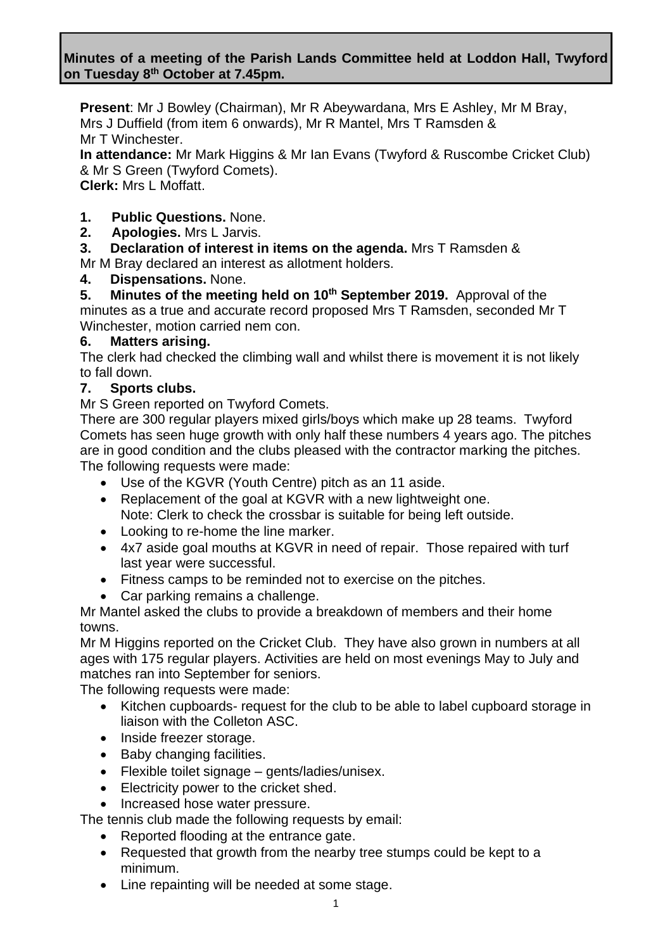**Present**: Mr J Bowley (Chairman), Mr R Abeywardana, Mrs E Ashley, Mr M Bray, Mrs J Duffield (from item 6 onwards), Mr R Mantel, Mrs T Ramsden & Mr T Winchester.

**In attendance:** Mr Mark Higgins & Mr Ian Evans (Twyford & Ruscombe Cricket Club) & Mr S Green (Twyford Comets).

**Clerk:** Mrs L Moffatt.

- **1. Public Questions.** None.
- **2. Apologies.** Mrs L Jarvis.
- **3. Declaration of interest in items on the agenda.** Mrs T Ramsden & Mr M Bray declared an interest as allotment holders.
- **4. Dispensations.** None.

**5. Minutes of the meeting held on 10th September 2019.** Approval of the minutes as a true and accurate record proposed Mrs T Ramsden, seconded Mr T Winchester, motion carried nem con.

## **6. Matters arising.**

The clerk had checked the climbing wall and whilst there is movement it is not likely to fall down.

## **7. Sports clubs.**

Mr S Green reported on Twyford Comets.

There are 300 regular players mixed girls/boys which make up 28 teams. Twyford Comets has seen huge growth with only half these numbers 4 years ago. The pitches are in good condition and the clubs pleased with the contractor marking the pitches. The following requests were made:

- Use of the KGVR (Youth Centre) pitch as an 11 aside.
- Replacement of the goal at KGVR with a new lightweight one. Note: Clerk to check the crossbar is suitable for being left outside.
- Looking to re-home the line marker.
- 4x7 aside goal mouths at KGVR in need of repair. Those repaired with turf last year were successful.
- Fitness camps to be reminded not to exercise on the pitches.
- Car parking remains a challenge.

Mr Mantel asked the clubs to provide a breakdown of members and their home towns.

Mr M Higgins reported on the Cricket Club. They have also grown in numbers at all ages with 175 regular players. Activities are held on most evenings May to July and matches ran into September for seniors.

The following requests were made:

- Kitchen cupboards- request for the club to be able to label cupboard storage in liaison with the Colleton ASC.
- Inside freezer storage.
- Baby changing facilities.
- Flexible toilet signage gents/ladies/unisex.
- Electricity power to the cricket shed.
- Increased hose water pressure.

The tennis club made the following requests by email:

- Reported flooding at the entrance gate.
- Requested that growth from the nearby tree stumps could be kept to a minimum.
- Line repainting will be needed at some stage.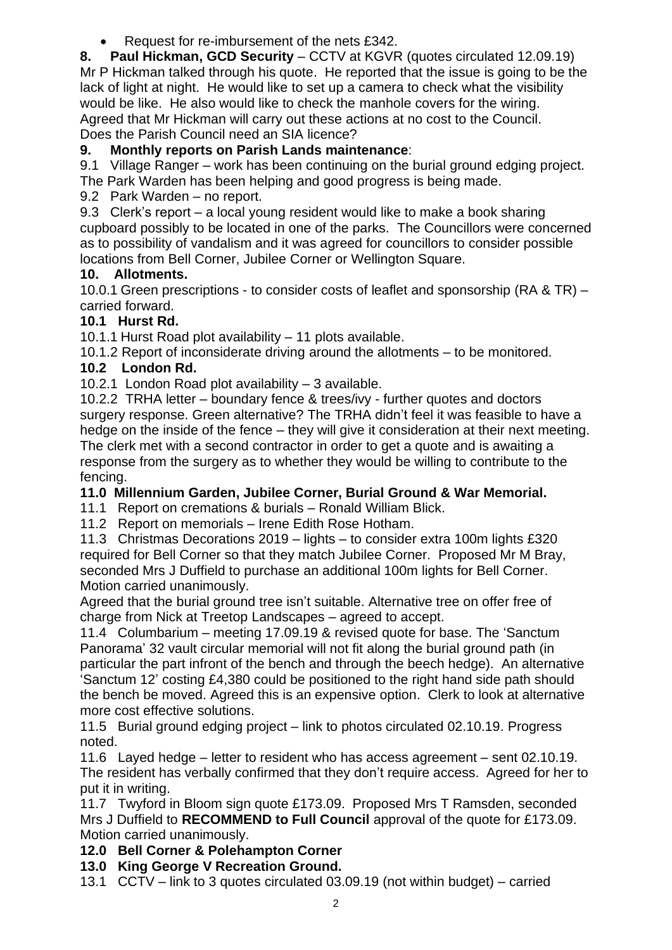• Request for re-imbursement of the nets £342.

**8. Paul Hickman, GCD Security** – CCTV at KGVR (quotes circulated 12.09.19) Mr P Hickman talked through his quote. He reported that the issue is going to be the lack of light at night. He would like to set up a camera to check what the visibility would be like. He also would like to check the manhole covers for the wiring. Agreed that Mr Hickman will carry out these actions at no cost to the Council. Does the Parish Council need an SIA licence?

# **9. Monthly reports on Parish Lands maintenance**:

9.1 Village Ranger – work has been continuing on the burial ground edging project. The Park Warden has been helping and good progress is being made.

9.2 Park Warden – no report.

9.3 Clerk's report – a local young resident would like to make a book sharing cupboard possibly to be located in one of the parks. The Councillors were concerned as to possibility of vandalism and it was agreed for councillors to consider possible locations from Bell Corner, Jubilee Corner or Wellington Square.

## **10. Allotments.**

10.0.1 Green prescriptions - to consider costs of leaflet and sponsorship (RA & TR) – carried forward.

## **10.1 Hurst Rd.**

10.1.1 Hurst Road plot availability – 11 plots available.

10.1.2 Report of inconsiderate driving around the allotments – to be monitored.

## **10.2 London Rd.**

10.2.1 London Road plot availability – 3 available.

10.2.2 TRHA letter – boundary fence & trees/ivy - further quotes and doctors surgery response. Green alternative? The TRHA didn't feel it was feasible to have a hedge on the inside of the fence – they will give it consideration at their next meeting. The clerk met with a second contractor in order to get a quote and is awaiting a response from the surgery as to whether they would be willing to contribute to the fencing.

## **11.0 Millennium Garden, Jubilee Corner, Burial Ground & War Memorial.**

11.1 Report on cremations & burials – Ronald William Blick.

#### 11.2 Report on memorials – Irene Edith Rose Hotham.

11.3 Christmas Decorations 2019 – lights – to consider extra 100m lights £320 required for Bell Corner so that they match Jubilee Corner. Proposed Mr M Bray, seconded Mrs J Duffield to purchase an additional 100m lights for Bell Corner. Motion carried unanimously.

Agreed that the burial ground tree isn't suitable. Alternative tree on offer free of charge from Nick at Treetop Landscapes – agreed to accept.

11.4 Columbarium – meeting 17.09.19 & revised quote for base. The 'Sanctum Panorama' 32 vault circular memorial will not fit along the burial ground path (in particular the part infront of the bench and through the beech hedge). An alternative 'Sanctum 12' costing £4,380 could be positioned to the right hand side path should the bench be moved. Agreed this is an expensive option. Clerk to look at alternative more cost effective solutions.

11.5 Burial ground edging project – link to photos circulated 02.10.19. Progress noted.

11.6 Layed hedge – letter to resident who has access agreement – sent 02.10.19. The resident has verbally confirmed that they don't require access. Agreed for her to put it in writing.

11.7 Twyford in Bloom sign quote £173.09. Proposed Mrs T Ramsden, seconded Mrs J Duffield to **RECOMMEND to Full Council** approval of the quote for £173.09. Motion carried unanimously.

## **12.0 Bell Corner & Polehampton Corner**

#### **13.0 King George V Recreation Ground.**

13.1 CCTV – link to 3 quotes circulated 03.09.19 (not within budget) – carried